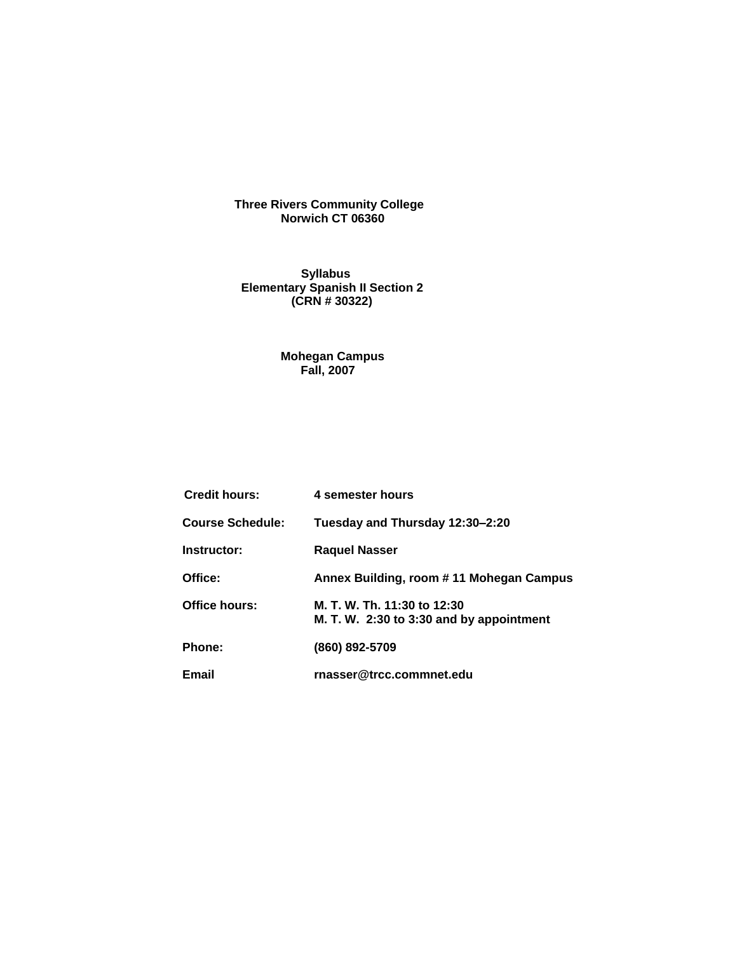#### **Three Rivers Community College Norwich CT 06360**

 **Syllabus Elementary Spanish II Section 2 (CRN # 30322)** 

#### **Mohegan Campus Fall, 2007**

| <b>Credit hours:</b>    | 4 semester hours                                                        |
|-------------------------|-------------------------------------------------------------------------|
| <b>Course Schedule:</b> | Tuesday and Thursday 12:30-2:20                                         |
| Instructor:             | <b>Raquel Nasser</b>                                                    |
| Office:                 | Annex Building, room # 11 Mohegan Campus                                |
| Office hours:           | M. T. W. Th. 11:30 to 12:30<br>M. T. W. 2:30 to 3:30 and by appointment |
| Phone:                  | (860) 892-5709                                                          |
| Email                   | rnasser@trcc.commnet.edu                                                |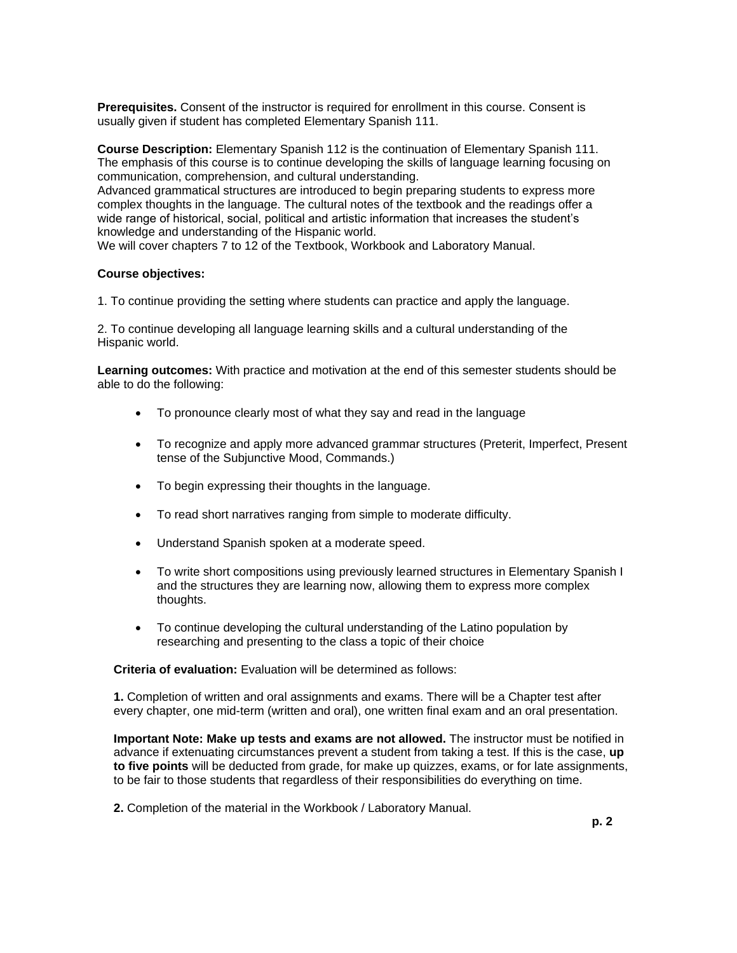**Prerequisites.** Consent of the instructor is required for enrollment in this course. Consent is usually given if student has completed Elementary Spanish 111.

**Course Description:** Elementary Spanish 112 is the continuation of Elementary Spanish 111. The emphasis of this course is to continue developing the skills of language learning focusing on communication, comprehension, and cultural understanding.

Advanced grammatical structures are introduced to begin preparing students to express more complex thoughts in the language. The cultural notes of the textbook and the readings offer a wide range of historical, social, political and artistic information that increases the student's knowledge and understanding of the Hispanic world.

We will cover chapters 7 to 12 of the Textbook, Workbook and Laboratory Manual.

#### **Course objectives:**

1. To continue providing the setting where students can practice and apply the language.

2. To continue developing all language learning skills and a cultural understanding of the Hispanic world.

**Learning outcomes:** With practice and motivation at the end of this semester students should be able to do the following:

- To pronounce clearly most of what they say and read in the language
- To recognize and apply more advanced grammar structures (Preterit, Imperfect, Present tense of the Subjunctive Mood, Commands.)
- To begin expressing their thoughts in the language.
- To read short narratives ranging from simple to moderate difficulty.
- Understand Spanish spoken at a moderate speed.
- To write short compositions using previously learned structures in Elementary Spanish I and the structures they are learning now, allowing them to express more complex thoughts.
- To continue developing the cultural understanding of the Latino population by researching and presenting to the class a topic of their choice

**Criteria of evaluation:** Evaluation will be determined as follows:

**1.** Completion of written and oral assignments and exams. There will be a Chapter test after every chapter, one mid-term (written and oral), one written final exam and an oral presentation.

**Important Note: Make up tests and exams are not allowed.** The instructor must be notified in advance if extenuating circumstances prevent a student from taking a test. If this is the case, **up to five points** will be deducted from grade, for make up quizzes, exams, or for late assignments, to be fair to those students that regardless of their responsibilities do everything on time.

**2.** Completion of the material in the Workbook / Laboratory Manual.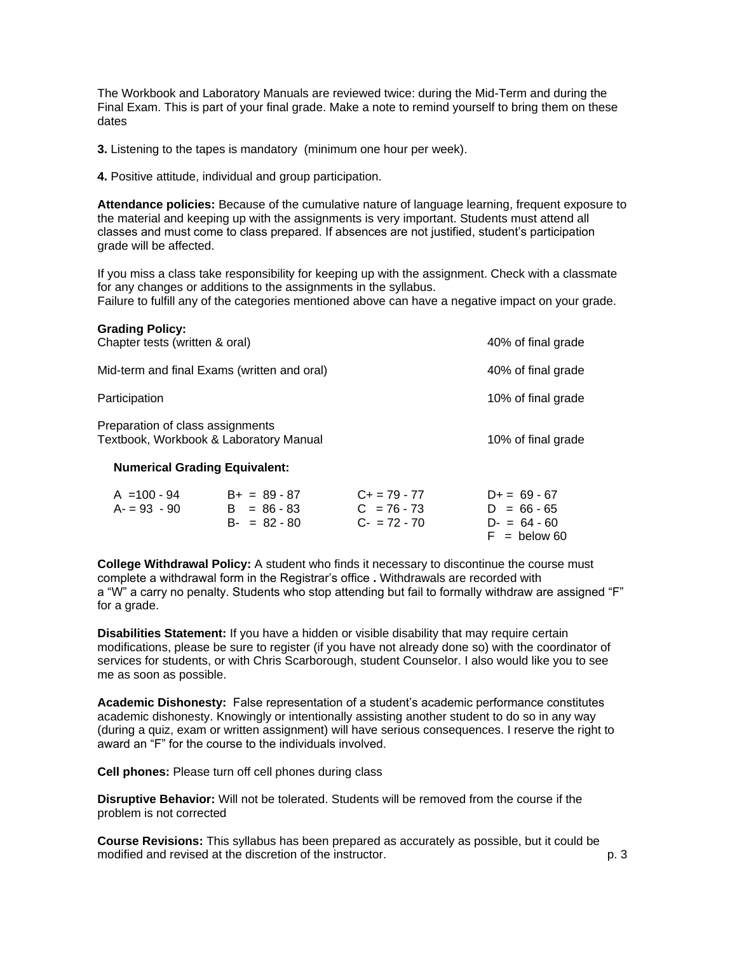The Workbook and Laboratory Manuals are reviewed twice: during the Mid-Term and during the Final Exam. This is part of your final grade. Make a note to remind yourself to bring them on these dates

**3.** Listening to the tapes is mandatory (minimum one hour per week).

**4.** Positive attitude, individual and group participation.

**Attendance policies:** Because of the cumulative nature of language learning, frequent exposure to the material and keeping up with the assignments is very important. Students must attend all classes and must come to class prepared. If absences are not justified, student's participation grade will be affected.

If you miss a class take responsibility for keeping up with the assignment. Check with a classmate for any changes or additions to the assignments in the syllabus.

Failure to fulfill any of the categories mentioned above can have a negative impact on your grade.

| <b>Grading Policy:</b><br>Chapter tests (written & oral)                                                           |                                 |                                    | 40% of final grade             |
|--------------------------------------------------------------------------------------------------------------------|---------------------------------|------------------------------------|--------------------------------|
| Mid-term and final Exams (written and oral)                                                                        | 40% of final grade              |                                    |                                |
| Participation                                                                                                      | 10% of final grade              |                                    |                                |
| Preparation of class assignments<br>Textbook, Workbook & Laboratory Manual<br><b>Numerical Grading Equivalent:</b> |                                 |                                    | 10% of final grade             |
|                                                                                                                    |                                 |                                    |                                |
| $A = 100 - 94$<br>$A = 93 - 90$                                                                                    | $B+ = 89 - 87$<br>$B = 86 - 83$ | $C_{+}$ = 79 - 77<br>$C = 76 - 73$ | $D+= 69 - 67$<br>$D = 66 - 65$ |

| . = 93 - 90 | D = 00 - 00     | $U = 10 - 13$ | $U = 00 - 03$  |
|-------------|-----------------|---------------|----------------|
|             | $B - = 82 - 80$ | $C - 72 - 70$ | $D = 64 - 60$  |
|             |                 |               | $F =$ below 60 |
|             |                 |               |                |

**College Withdrawal Policy:** A student who finds it necessary to discontinue the course must complete a withdrawal form in the Registrar's office **.** Withdrawals are recorded with a "W" a carry no penalty. Students who stop attending but fail to formally withdraw are assigned "F" for a grade.

**Disabilities Statement:** If you have a hidden or visible disability that may require certain modifications, please be sure to register (if you have not already done so) with the coordinator of services for students, or with Chris Scarborough, student Counselor. I also would like you to see me as soon as possible.

**Academic Dishonesty:** False representation of a student's academic performance constitutes academic dishonesty. Knowingly or intentionally assisting another student to do so in any way (during a quiz, exam or written assignment) will have serious consequences. I reserve the right to award an "F" for the course to the individuals involved.

**Cell phones:** Please turn off cell phones during class

**Disruptive Behavior:** Will not be tolerated. Students will be removed from the course if the problem is not corrected

**Course Revisions:** This syllabus has been prepared as accurately as possible, but it could be modified and revised at the discretion of the instructor. The instructor of the instructor of the instructor.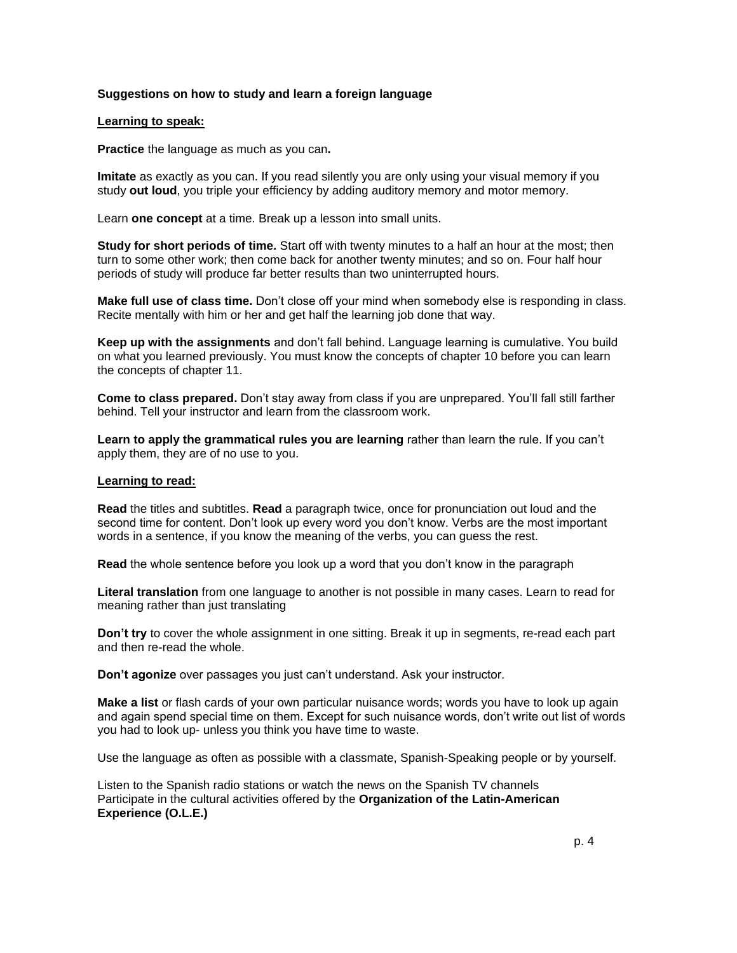## **Suggestions on how to study and learn a foreign language**

#### **Learning to speak:**

**Practice** the language as much as you can**.**

**Imitate** as exactly as you can. If you read silently you are only using your visual memory if you study **out loud**, you triple your efficiency by adding auditory memory and motor memory.

Learn **one concept** at a time. Break up a lesson into small units.

**Study for short periods of time.** Start off with twenty minutes to a half an hour at the most; then turn to some other work; then come back for another twenty minutes; and so on. Four half hour periods of study will produce far better results than two uninterrupted hours.

**Make full use of class time.** Don't close off your mind when somebody else is responding in class. Recite mentally with him or her and get half the learning job done that way.

**Keep up with the assignments** and don't fall behind. Language learning is cumulative. You build on what you learned previously. You must know the concepts of chapter 10 before you can learn the concepts of chapter 11.

**Come to class prepared.** Don't stay away from class if you are unprepared. You'll fall still farther behind. Tell your instructor and learn from the classroom work.

**Learn to apply the grammatical rules you are learning** rather than learn the rule. If you can't apply them, they are of no use to you.

#### **Learning to read:**

**Read** the titles and subtitles. **Read** a paragraph twice, once for pronunciation out loud and the second time for content. Don't look up every word you don't know. Verbs are the most important words in a sentence, if you know the meaning of the verbs, you can guess the rest.

**Read** the whole sentence before you look up a word that you don't know in the paragraph

**Literal translation** from one language to another is not possible in many cases. Learn to read for meaning rather than just translating

**Don't try** to cover the whole assignment in one sitting. Break it up in segments, re-read each part and then re-read the whole.

**Don't agonize** over passages you just can't understand. Ask your instructor.

**Make a list** or flash cards of your own particular nuisance words; words you have to look up again and again spend special time on them. Except for such nuisance words, don't write out list of words you had to look up- unless you think you have time to waste.

Use the language as often as possible with a classmate, Spanish-Speaking people or by yourself.

Listen to the Spanish radio stations or watch the news on the Spanish TV channels Participate in the cultural activities offered by the **Organization of the Latin-American Experience (O.L.E.)**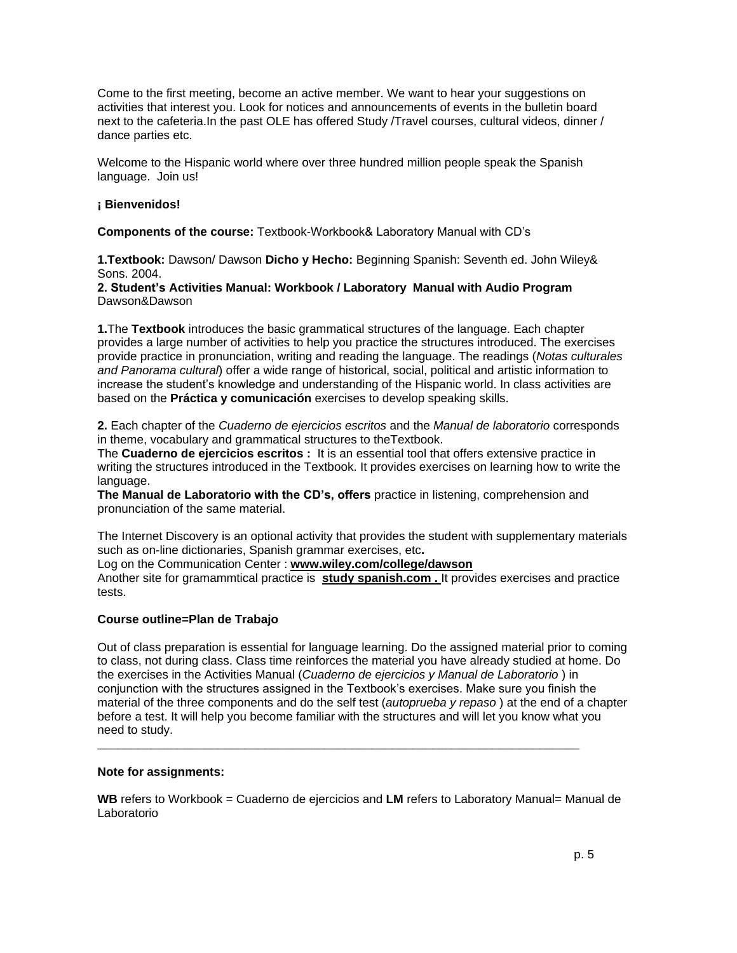Come to the first meeting, become an active member. We want to hear your suggestions on activities that interest you. Look for notices and announcements of events in the bulletin board next to the cafeteria.In the past OLE has offered Study /Travel courses, cultural videos, dinner / dance parties etc.

Welcome to the Hispanic world where over three hundred million people speak the Spanish language. Join us!

## **¡ Bienvenidos!**

**Components of the course:** Textbook-Workbook& Laboratory Manual with CD's

**1.Textbook:** Dawson/ Dawson **Dicho y Hecho:** Beginning Spanish: Seventh ed. John Wiley& Sons. 2004.

## **2. Student's Activities Manual: Workbook / Laboratory Manual with Audio Program** Dawson&Dawson

**1.**The **Textbook** introduces the basic grammatical structures of the language. Each chapter provides a large number of activities to help you practice the structures introduced. The exercises provide practice in pronunciation, writing and reading the language. The readings (*Notas culturales and Panorama cultural*) offer a wide range of historical, social, political and artistic information to increase the student's knowledge and understanding of the Hispanic world. In class activities are based on the **Práctica y comunicación** exercises to develop speaking skills.

**2.** Each chapter of the *Cuaderno de ejercicios escritos* and the *Manual de laboratorio* corresponds in theme, vocabulary and grammatical structures to theTextbook.

The **Cuaderno de ejercicios escritos :** It is an essential tool that offers extensive practice in writing the structures introduced in the Textbook. It provides exercises on learning how to write the language.

**The Manual de Laboratorio with the CD's, offers** practice in listening, comprehension and pronunciation of the same material.

The Internet Discovery is an optional activity that provides the student with supplementary materials such as on-line dictionaries, Spanish grammar exercises, etc**.**

Log on the Communication Center : **www.wiley.com/college/dawson**

Another site for gramammtical practice is **study spanish.com .** It provides exercises and practice tests.

# **Course outline=Plan de Trabajo**

Out of class preparation is essential for language learning. Do the assigned material prior to coming to class, not during class. Class time reinforces the material you have already studied at home. Do the exercises in the Activities Manual (*Cuaderno de ejercicios y Manual de Laboratorio* ) in conjunction with the structures assigned in the Textbook's exercises. Make sure you finish the material of the three components and do the self test (*autoprueba y repaso* ) at the end of a chapter before a test. It will help you become familiar with the structures and will let you know what you need to study.

#### **Note for assignments:**

**WB** refers to Workbook = Cuaderno de ejercicios and **LM** refers to Laboratory Manual= Manual de Laboratorio

**\_\_\_\_\_\_\_\_\_\_\_\_\_\_\_\_\_\_\_\_\_\_\_\_\_\_\_\_\_\_\_\_\_\_\_\_\_\_\_\_\_\_\_\_\_\_\_\_\_\_\_\_\_\_\_\_\_\_\_\_\_\_\_\_\_\_\_\_\_\_\_\_**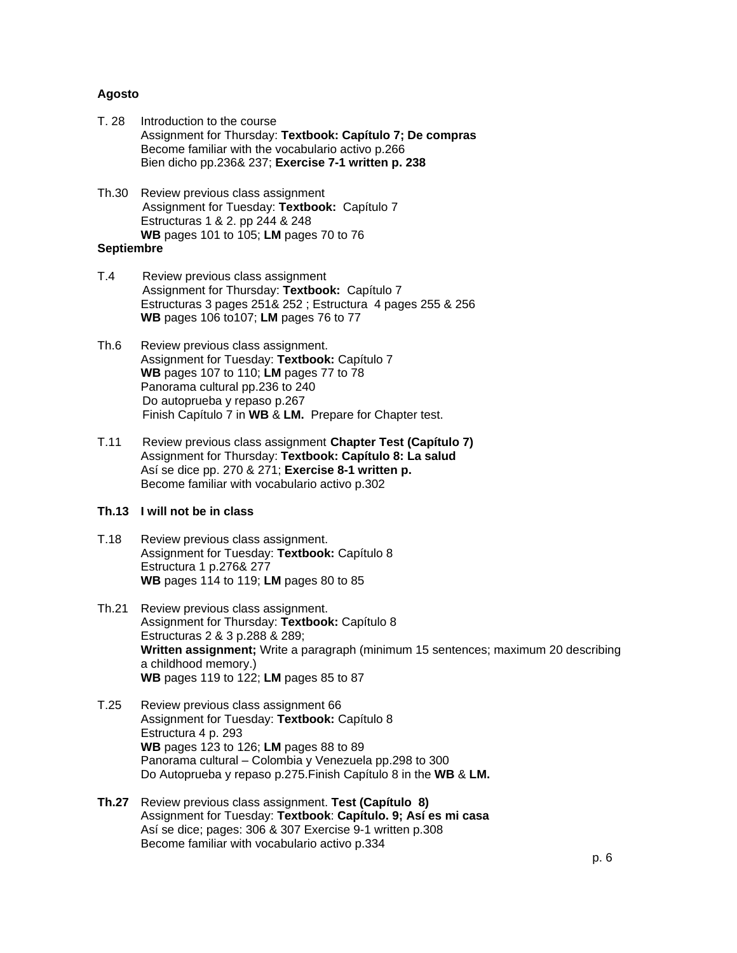#### **Agosto**

- T. 28 Introduction to the course Assignment for Thursday: **Textbook: Capítulo 7; De compras** Become familiar with the vocabulario activo p.266 Bien dicho pp.236& 237; **Exercise 7-1 written p. 238**
- Th.30 Review previous class assignment Assignment for Tuesday: **Textbook:** Capítulo 7 Estructuras 1 & 2. pp 244 & 248 **WB** pages 101 to 105; **LM** pages 70 to 76

# **Septiembre**

- T.4 Review previous class assignment Assignment for Thursday: **Textbook:** Capítulo 7 Estructuras 3 pages 251& 252 ; Estructura 4 pages 255 & 256 **WB** pages 106 to107; **LM** pages 76 to 77
- Th.6 Review previous class assignment. Assignment for Tuesday: **Textbook:** Capítulo 7 **WB** pages 107 to 110; **LM** pages 77 to 78 Panorama cultural pp.236 to 240 Do autoprueba y repaso p.267 Finish Capítulo 7 in **WB** & **LM.** Prepare for Chapter test.
- T.11 Review previous class assignment **Chapter Test (Capítulo 7)** Assignment for Thursday: **Textbook: Capítulo 8: La salud** Así se dice pp. 270 & 271; **Exercise 8-1 written p.** Become familiar with vocabulario activo p.302

## **Th.13 I will not be in class**

- T.18 Review previous class assignment. Assignment for Tuesday: **Textbook:** Capítulo 8 Estructura 1 p.276& 277 **WB** pages 114 to 119; **LM** pages 80 to 85
- Th.21 Review previous class assignment. Assignment for Thursday: **Textbook:** Capítulo 8 Estructuras 2 & 3 p.288 & 289; **Written assignment;** Write a paragraph (minimum 15 sentences; maximum 20 describing a childhood memory.) **WB** pages 119 to 122; **LM** pages 85 to 87
- T.25 Review previous class assignment 66 Assignment for Tuesday: **Textbook:** Capítulo 8 Estructura 4 p. 293 **WB** pages 123 to 126; **LM** pages 88 to 89 Panorama cultural – Colombia y Venezuela pp.298 to 300 Do Autoprueba y repaso p.275.Finish Capítulo 8 in the **WB** & **LM.**
- **Th.27** Review previous class assignment. **Test (Capítulo 8)** Assignment for Tuesday: **Textbook**: **Capítulo. 9; Así es mi casa** Así se dice; pages: 306 & 307 Exercise 9-1 written p.308 Become familiar with vocabulario activo p.334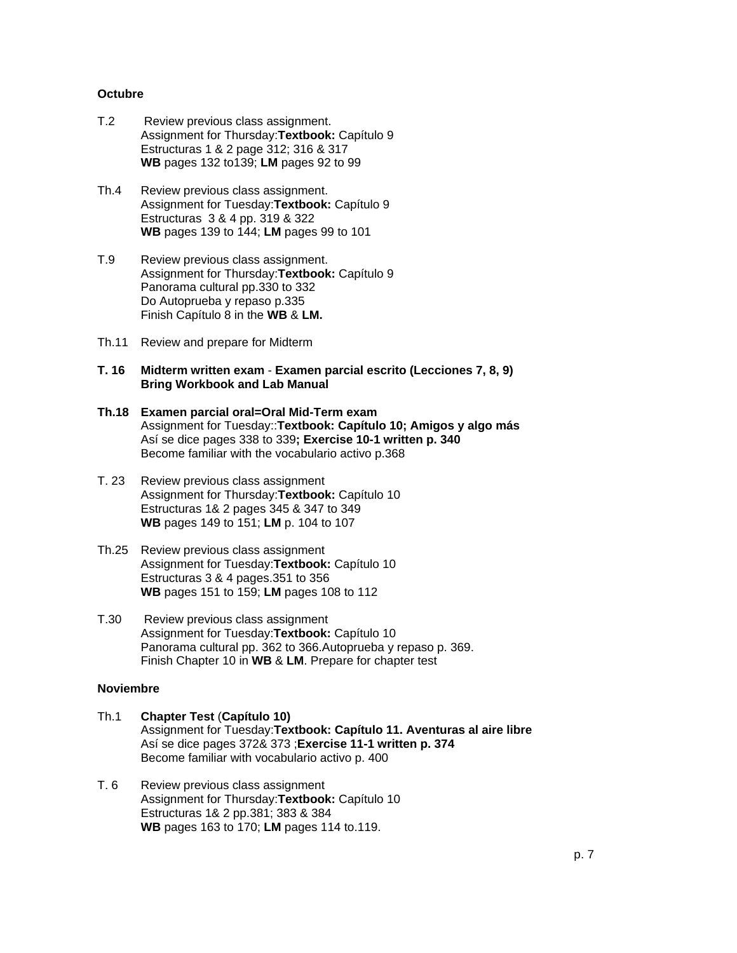## **Octubre**

- T.2 Review previous class assignment. Assignment for Thursday:**Textbook:** Capítulo 9 Estructuras 1 & 2 page 312; 316 & 317 **WB** pages 132 to139; **LM** pages 92 to 99
- Th.4 Review previous class assignment. Assignment for Tuesday:**Textbook:** Capítulo 9 Estructuras 3 & 4 pp. 319 & 322 **WB** pages 139 to 144; **LM** pages 99 to 101
- T.9 Review previous class assignment. Assignment for Thursday:**Textbook:** Capítulo 9 Panorama cultural pp.330 to 332 Do Autoprueba y repaso p.335 Finish Capítulo 8 in the **WB** & **LM.**
- Th.11 Review and prepare for Midterm
- **T. 16 Midterm written exam Examen parcial escrito (Lecciones 7, 8, 9) Bring Workbook and Lab Manual**
- **Th.18 Examen parcial oral=Oral Mid-Term exam** Assignment for Tuesday::**Textbook: Capítulo 10; Amigos y algo más** Así se dice pages 338 to 339**; Exercise 10-1 written p. 340** Become familiar with the vocabulario activo p.368
- T. 23 Review previous class assignment Assignment for Thursday:**Textbook:** Capítulo 10 Estructuras 1& 2 pages 345 & 347 to 349 **WB** pages 149 to 151; **LM** p. 104 to 107
- Th.25 Review previous class assignment Assignment for Tuesday:**Textbook:** Capítulo 10 Estructuras 3 & 4 pages.351 to 356 **WB** pages 151 to 159; **LM** pages 108 to 112
- T.30 Review previous class assignment Assignment for Tuesday:**Textbook:** Capítulo 10 Panorama cultural pp. 362 to 366.Autoprueba y repaso p. 369. Finish Chapter 10 in **WB** & **LM**. Prepare for chapter test

# **Noviembre**

- Th.1 **Chapter Test** (**Capítulo 10)** Assignment for Tuesday:**Textbook: Capítulo 11. Aventuras al aire libre** Así se dice pages 372& 373 ;**Exercise 11-1 written p. 374** Become familiar with vocabulario activo p. 400
- T. 6 Review previous class assignment Assignment for Thursday:**Textbook:** Capítulo 10 Estructuras 1& 2 pp.381; 383 & 384 **WB** pages 163 to 170; **LM** pages 114 to.119.